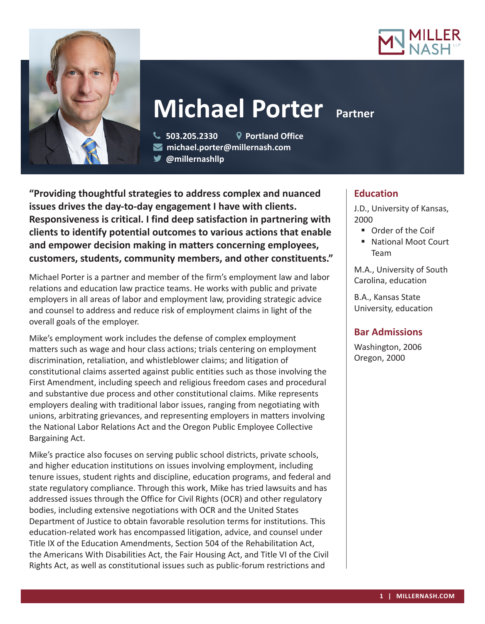



# **Michael Porter Partner**

 **503.205.2330 Portland Office michael.porter@millernash.com** 

**@millernashllp** 

**"Providing thoughtful strategies to address complex and nuanced issues drives the day-to-day engagement I have with clients. Responsiveness is critical. I find deep satisfaction in partnering with clients to identify potential outcomes to various actions that enable and empower decision making in matters concerning employees, customers, students, community members, and other constituents."**

Michael Porter is a partner and member of the firm's employment law and labor relations and education law practice teams. He works with public and private employers in all areas of labor and employment law, providing strategic advice and counsel to address and reduce risk of employment claims in light of the overall goals of the employer.

Mike's employment work includes the defense of complex employment matters such as wage and hour class actions; trials centering on employment discrimination, retaliation, and whistleblower claims; and litigation of constitutional claims asserted against public entities such as those involving the First Amendment, including speech and religious freedom cases and procedural and substantive due process and other constitutional claims. Mike represents employers dealing with traditional labor issues, ranging from negotiating with unions, arbitrating grievances, and representing employers in matters involving the National Labor Relations Act and the Oregon Public Employee Collective Bargaining Act.

Mike's practice also focuses on serving public school districts, private schools, and higher education institutions on issues involving employment, including tenure issues, student rights and discipline, education programs, and federal and state regulatory compliance. Through this work, Mike has tried lawsuits and has addressed issues through the Office for Civil Rights (OCR) and other regulatory bodies, including extensive negotiations with OCR and the United States Department of Justice to obtain favorable resolution terms for institutions. This education-related work has encompassed litigation, advice, and counsel under Title IX of the Education Amendments, Section 504 of the Rehabilitation Act, the Americans With Disabilities Act, the Fair Housing Act, and Title VI of the Civil Rights Act, as well as constitutional issues such as public-forum restrictions and

## **Education**

J.D., University of Kansas, 2000

- Order of the Coif
- National Moot Court Team

M.A., University of South Carolina, education

B.A., Kansas State University, education

## **Bar Admissions**

Washington, 2006 Oregon, 2000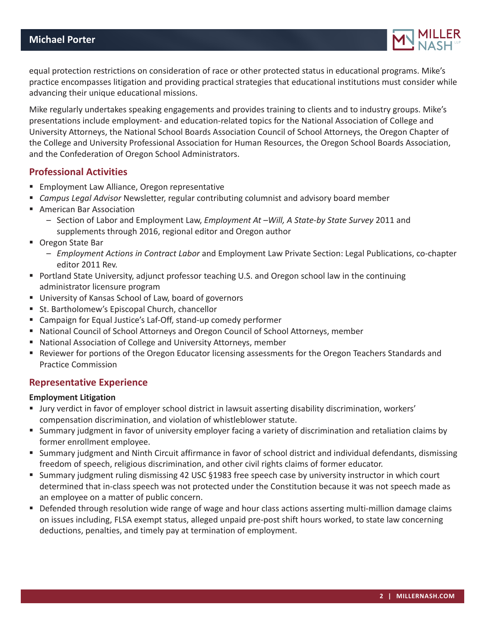

equal protection restrictions on consideration of race or other protected status in educational programs. Mike's practice encompasses litigation and providing practical strategies that educational institutions must consider while advancing their unique educational missions.

Mike regularly undertakes speaking engagements and provides training to clients and to industry groups. Mike's presentations include employment- and education-related topics for the National Association of College and University Attorneys, the National School Boards Association Council of School Attorneys, the Oregon Chapter of the College and University Professional Association for Human Resources, the Oregon School Boards Association, and the Confederation of Oregon School Administrators.

## **Professional Activities**

- **Employment Law Alliance, Oregon representative**
- *Campus Legal Advisor* Newsletter, regular contributing columnist and advisory board member
- **American Bar Association** 
	- Section of Labor and Employment Law, *Employment At –Will, A State-by State Survey* 2011 and supplements through 2016, regional editor and Oregon author
- Oregon State Bar
	- *Employment Actions in Contract Labor* and Employment Law Private Section: Legal Publications, co-chapter editor 2011 Rev.
- **Portland State University, adjunct professor teaching U.S. and Oregon school law in the continuing** administrator licensure program
- University of Kansas School of Law, board of governors
- St. Bartholomew's Episcopal Church, chancellor
- Campaign for Equal Justice's Laf-Off, stand-up comedy performer
- National Council of School Attorneys and Oregon Council of School Attorneys, member
- National Association of College and University Attorneys, member
- **•** Reviewer for portions of the Oregon Educator licensing assessments for the Oregon Teachers Standards and Practice Commission

## **Representative Experience**

#### **Employment Litigation**

- Jury verdict in favor of employer school district in lawsuit asserting disability discrimination, workers' compensation discrimination, and violation of whistleblower statute.
- Summary judgment in favor of university employer facing a variety of discrimination and retaliation claims by former enrollment employee.
- Summary judgment and Ninth Circuit affirmance in favor of school district and individual defendants, dismissing freedom of speech, religious discrimination, and other civil rights claims of former educator.
- Summary judgment ruling dismissing 42 USC §1983 free speech case by university instructor in which court determined that in-class speech was not protected under the Constitution because it was not speech made as an employee on a matter of public concern.
- Defended through resolution wide range of wage and hour class actions asserting multi-million damage claims on issues including, FLSA exempt status, alleged unpaid pre-post shift hours worked, to state law concerning deductions, penalties, and timely pay at termination of employment.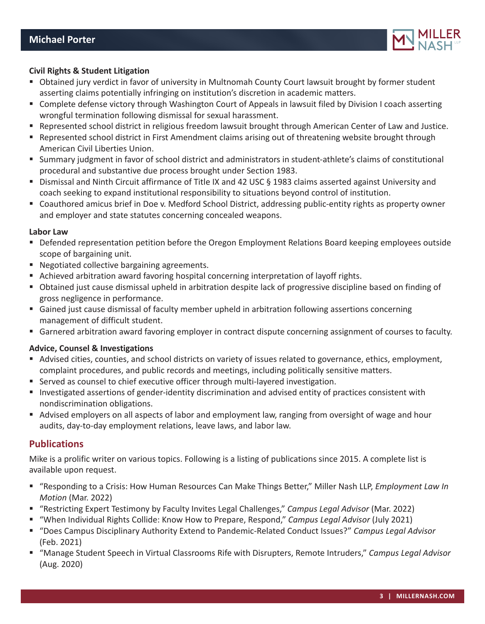

#### **Civil Rights & Student Litigation**

- Obtained jury verdict in favor of university in Multnomah County Court lawsuit brought by former student asserting claims potentially infringing on institution's discretion in academic matters.
- Complete defense victory through Washington Court of Appeals in lawsuit filed by Division I coach asserting wrongful termination following dismissal for sexual harassment.
- Represented school district in religious freedom lawsuit brought through American Center of Law and Justice.
- Represented school district in First Amendment claims arising out of threatening website brought through American Civil Liberties Union.
- Summary judgment in favor of school district and administrators in student-athlete's claims of constitutional procedural and substantive due process brought under Section 1983.
- Dismissal and Ninth Circuit affirmance of Title IX and 42 USC § 1983 claims asserted against University and coach seeking to expand institutional responsibility to situations beyond control of institution.
- Coauthored amicus brief in Doe v. Medford School District, addressing public-entity rights as property owner and employer and state statutes concerning concealed weapons.

#### **Labor Law**

- Defended representation petition before the Oregon Employment Relations Board keeping employees outside scope of bargaining unit.
- **Negotiated collective bargaining agreements.**
- Achieved arbitration award favoring hospital concerning interpretation of layoff rights.
- Obtained just cause dismissal upheld in arbitration despite lack of progressive discipline based on finding of gross negligence in performance.
- Gained just cause dismissal of faculty member upheld in arbitration following assertions concerning management of difficult student.
- Garnered arbitration award favoring employer in contract dispute concerning assignment of courses to faculty.

#### **Advice, Counsel & Investigations**

- Advised cities, counties, and school districts on variety of issues related to governance, ethics, employment, complaint procedures, and public records and meetings, including politically sensitive matters.
- Served as counsel to chief executive officer through multi-layered investigation.
- Investigated assertions of gender-identity discrimination and advised entity of practices consistent with nondiscrimination obligations.
- Advised employers on all aspects of labor and employment law, ranging from oversight of wage and hour audits, day-to-day employment relations, leave laws, and labor law.

## **Publications**

Mike is a prolific writer on various topics. Following is a listing of publications since 2015. A complete list is available upon request.

- "Responding to a Crisis: How Human Resources Can Make Things Better," Miller Nash LLP, *Employment Law In Motion* (Mar. 2022)
- "Restricting Expert Testimony by Faculty Invites Legal Challenges," *Campus Legal Advisor* (Mar. 2022)
- "When Individual Rights Collide: Know How to Prepare, Respond," *Campus Legal Advisor* (July 2021)
- "Does Campus Disciplinary Authority Extend to Pandemic-Related Conduct Issues?" *Campus Legal Advisor*  (Feb. 2021)
- "Manage Student Speech in Virtual Classrooms Rife with Disrupters, Remote Intruders," *Campus Legal Advisor*  (Aug. 2020)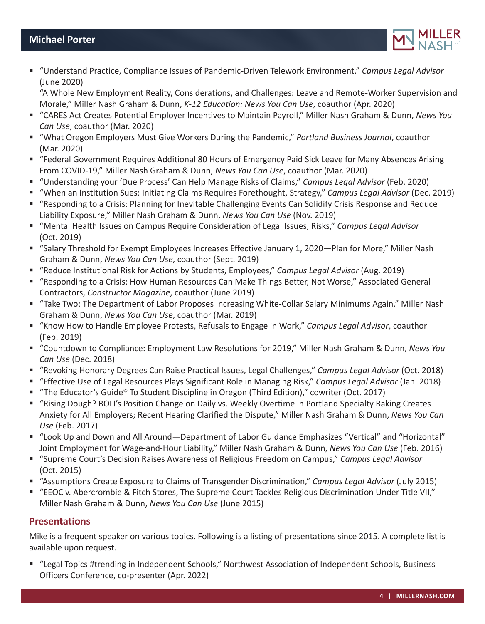

 "Understand Practice, Compliance Issues of Pandemic-Driven Telework Environment," *Campus Legal Advisor*  (June 2020)

"A Whole New Employment Reality, Considerations, and Challenges: Leave and Remote-Worker Supervision and Morale," Miller Nash Graham & Dunn, *K-12 Education: News You Can Use*, coauthor (Apr. 2020)

- "CARES Act Creates Potential Employer Incentives to Maintain Payroll," Miller Nash Graham & Dunn, *News You Can Use*, coauthor (Mar. 2020)
- "What Oregon Employers Must Give Workers During the Pandemic," *Portland Business Journal*, coauthor (Mar. 2020)
- "Federal Government Requires Additional 80 Hours of Emergency Paid Sick Leave for Many Absences Arising From COVID-19," Miller Nash Graham & Dunn, *News You Can Use*, coauthor (Mar. 2020)
- "Understanding your 'Due Process' Can Help Manage Risks of Claims," *Campus Legal Advisor* (Feb. 2020)
- "When an Institution Sues: Initiating Claims Requires Forethought, Strategy," *Campus Legal Advisor* (Dec. 2019)
- "Responding to a Crisis: Planning for Inevitable Challenging Events Can Solidify Crisis Response and Reduce Liability Exposure," Miller Nash Graham & Dunn, *News You Can Use* (Nov. 2019)
- "Mental Health Issues on Campus Require Consideration of Legal Issues, Risks," Campus Legal Advisor (Oct. 2019)
- "Salary Threshold for Exempt Employees Increases Effective January 1, 2020—Plan for More," Miller Nash Graham & Dunn, *News You Can Use*, coauthor (Sept. 2019)
- "Reduce Institutional Risk for Actions by Students, Employees," *Campus Legal Advisor* (Aug. 2019)
- "Responding to a Crisis: How Human Resources Can Make Things Better, Not Worse," Associated General Contractors, *Constructor Magazine*, coauthor (June 2019)
- "Take Two: The Department of Labor Proposes Increasing White-Collar Salary Minimums Again," Miller Nash Graham & Dunn, *News You Can Use*, coauthor (Mar. 2019)
- "Know How to Handle Employee Protests, Refusals to Engage in Work," *Campus Legal Advisor*, coauthor (Feb. 2019)
- "Countdown to Compliance: Employment Law Resolutions for 2019," Miller Nash Graham & Dunn, *News You Can Use* (Dec. 2018)
- "Revoking Honorary Degrees Can Raise Practical Issues, Legal Challenges," *Campus Legal Advisor* (Oct. 2018)
- "Effective Use of Legal Resources Plays Significant Role in Managing Risk," *Campus Legal Advisor* (Jan. 2018)
- "The Educator's Guide<sup>®</sup> To Student Discipline in Oregon (Third Edition)," cowriter (Oct. 2017)
- "Rising Dough? BOLI's Position Change on Daily vs. Weekly Overtime in Portland Specialty Baking Creates Anxiety for All Employers; Recent Hearing Clarified the Dispute," Miller Nash Graham & Dunn, *News You Can Use* (Feb. 2017)
- "Look Up and Down and All Around—Department of Labor Guidance Emphasizes "Vertical" and "Horizontal" Joint Employment for Wage-and-Hour Liability," Miller Nash Graham & Dunn, *News You Can Use* (Feb. 2016)
- "Supreme Court's Decision Raises Awareness of Religious Freedom on Campus," *Campus Legal Advisor*  (Oct. 2015)
- "Assumptions Create Exposure to Claims of Transgender Discrimination," *Campus Legal Advisor* (July 2015)
- "EEOC v. Abercrombie & Fitch Stores, The Supreme Court Tackles Religious Discrimination Under Title VII," Miller Nash Graham & Dunn, *News You Can Use* (June 2015)

## **Presentations**

Mike is a frequent speaker on various topics. Following is a listing of presentations since 2015. A complete list is available upon request.

■ "Legal Topics #trending in Independent Schools," Northwest Association of Independent Schools, Business Officers Conference, co-presenter (Apr. 2022)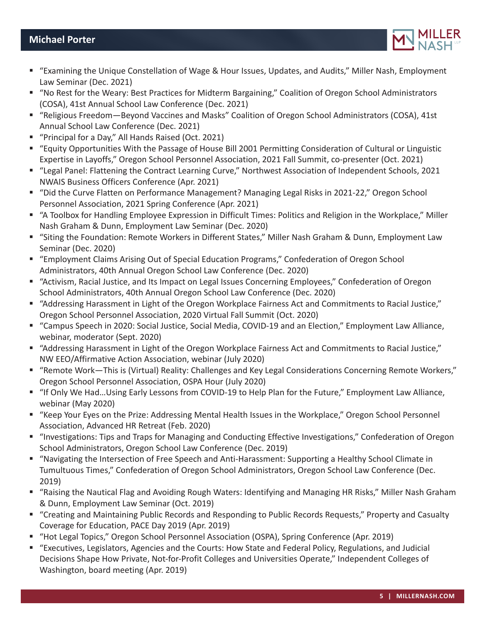- "Examining the Unique Constellation of Wage & Hour Issues, Updates, and Audits," Miller Nash, Employment Law Seminar (Dec. 2021)
- "No Rest for the Weary: Best Practices for Midterm Bargaining," Coalition of Oregon School Administrators (COSA), 41st Annual School Law Conference (Dec. 2021)
- "Religious Freedom—Beyond Vaccines and Masks" Coalition of Oregon School Administrators (COSA), 41st Annual School Law Conference (Dec. 2021)
- "Principal for a Day," All Hands Raised (Oct. 2021)
- "Equity Opportunities With the Passage of House Bill 2001 Permitting Consideration of Cultural or Linguistic Expertise in Layoffs," Oregon School Personnel Association, 2021 Fall Summit, co-presenter (Oct. 2021)
- "Legal Panel: Flattening the Contract Learning Curve," Northwest Association of Independent Schools, 2021 NWAIS Business Officers Conference (Apr. 2021)
- "Did the Curve Flatten on Performance Management? Managing Legal Risks in 2021-22," Oregon School Personnel Association, 2021 Spring Conference (Apr. 2021)
- "A Toolbox for Handling Employee Expression in Difficult Times: Politics and Religion in the Workplace," Miller Nash Graham & Dunn, Employment Law Seminar (Dec. 2020)
- "Siting the Foundation: Remote Workers in Different States," Miller Nash Graham & Dunn, Employment Law Seminar (Dec. 2020)
- "Employment Claims Arising Out of Special Education Programs," Confederation of Oregon School Administrators, 40th Annual Oregon School Law Conference (Dec. 2020)
- "Activism, Racial Justice, and Its Impact on Legal Issues Concerning Employees," Confederation of Oregon School Administrators, 40th Annual Oregon School Law Conference (Dec. 2020)
- "Addressing Harassment in Light of the Oregon Workplace Fairness Act and Commitments to Racial Justice," Oregon School Personnel Association, 2020 Virtual Fall Summit (Oct. 2020)
- "Campus Speech in 2020: Social Justice, Social Media, COVID-19 and an Election," Employment Law Alliance, webinar, moderator (Sept. 2020)
- "Addressing Harassment in Light of the Oregon Workplace Fairness Act and Commitments to Racial Justice," NW EEO/Affirmative Action Association, webinar (July 2020)
- "Remote Work—This is (Virtual) Reality: Challenges and Key Legal Considerations Concerning Remote Workers," Oregon School Personnel Association, OSPA Hour (July 2020)
- "If Only We Had…Using Early Lessons from COVID-19 to Help Plan for the Future," Employment Law Alliance, webinar (May 2020)
- "Keep Your Eyes on the Prize: Addressing Mental Health Issues in the Workplace," Oregon School Personnel Association, Advanced HR Retreat (Feb. 2020)
- "Investigations: Tips and Traps for Managing and Conducting Effective Investigations," Confederation of Oregon School Administrators, Oregon School Law Conference (Dec. 2019)
- "Navigating the Intersection of Free Speech and Anti-Harassment: Supporting a Healthy School Climate in Tumultuous Times," Confederation of Oregon School Administrators, Oregon School Law Conference (Dec. 2019)
- "Raising the Nautical Flag and Avoiding Rough Waters: Identifying and Managing HR Risks," Miller Nash Graham & Dunn, Employment Law Seminar (Oct. 2019)
- "Creating and Maintaining Public Records and Responding to Public Records Requests," Property and Casualty Coverage for Education, PACE Day 2019 (Apr. 2019)
- "Hot Legal Topics," Oregon School Personnel Association (OSPA), Spring Conference (Apr. 2019)
- "Executives, Legislators, Agencies and the Courts: How State and Federal Policy, Regulations, and Judicial Decisions Shape How Private, Not-for-Profit Colleges and Universities Operate," Independent Colleges of Washington, board meeting (Apr. 2019)